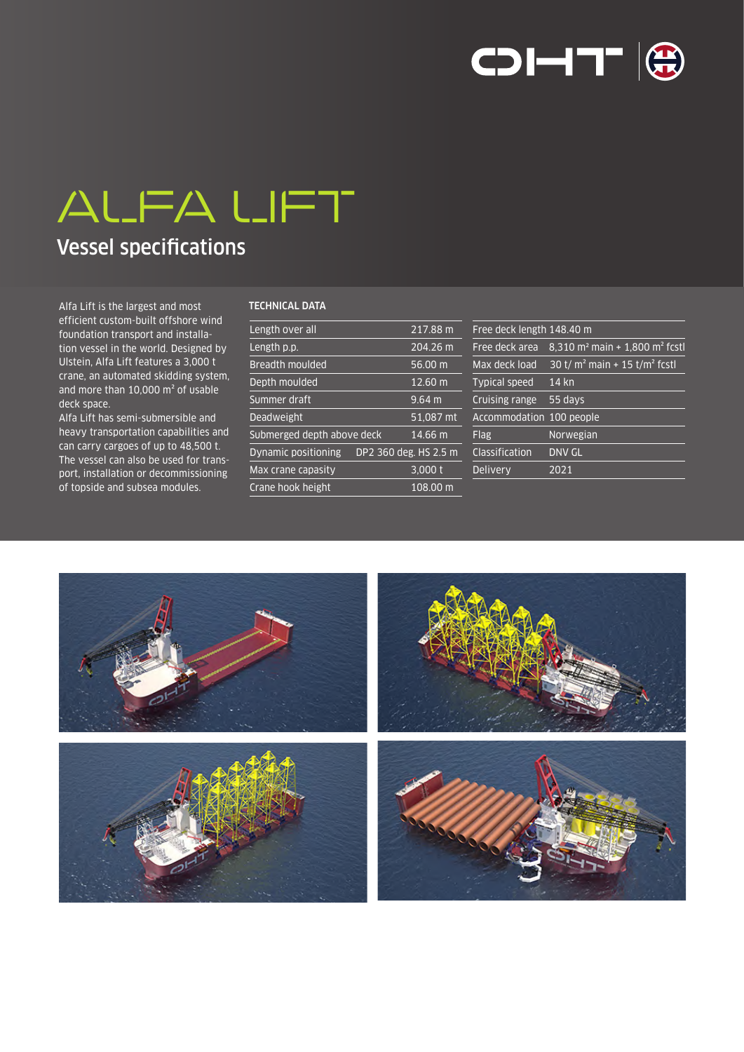

# ALFA LIFT

## Vessel specifications

Alfa Lift is the largest and most efficient custom-built offshore wind foundation transport and installation vessel in the world. Designed by Ulstein, Alfa Lift features a 3,000 t crane, an automated skidding system, and more than 10,000 m² of usable deck space.

Alfa Lift has semi-submersible and heavy transportation capabilities and can carry cargoes of up to 48,500 t. The vessel can also be used for transport, installation or decommissioning of topside and subsea modules.

### TECHNICAL DATA

| Length over all            |  | $217.88 \text{ m}$    |
|----------------------------|--|-----------------------|
| Length p.p.                |  | 204.26 m              |
| <b>Breadth moulded</b>     |  | 56.00 m               |
| Depth moulded              |  | 12.60 m               |
| Summer draft               |  | $9.64 \text{ m}$      |
| <b>Deadweight</b>          |  | 51,087 mt             |
| Submerged depth above deck |  | 14.66 m               |
| Dynamic positioning        |  | DP2 360 deg. HS 2.5 m |
| Max crane capasity         |  | 3,000t                |
| Crane hook height          |  | 108.00 m              |

| Free deck length 148.40 m |                                                        |
|---------------------------|--------------------------------------------------------|
| Free deck area            | 8,310 m <sup>2</sup> main + 1,800 m <sup>2</sup> fcstl |
| Max deck load             | 30 t/ $m^2$ main + 15 t/ $m^2$ fcstl                   |
| <b>Typical speed</b>      | 14 kn                                                  |
| Cruising range            | 55 days                                                |
| Accommodation 100 people  |                                                        |
| Flag                      | Norwegian                                              |
| Classification            | <b>DNV GL</b>                                          |
| Delivery                  | 2021                                                   |
|                           |                                                        |